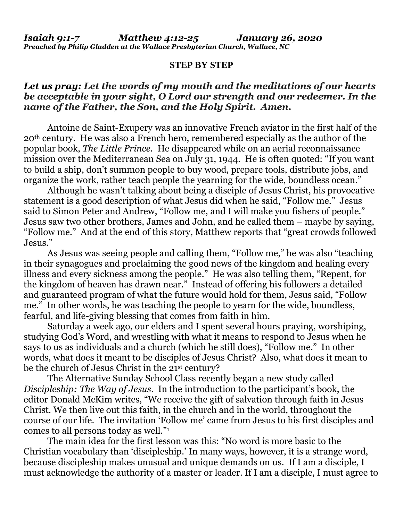## **STEP BY STEP**

## *Let us pray: Let the words of my mouth and the meditations of our hearts be acceptable in your sight, O Lord our strength and our redeemer. In the name of the Father, the Son, and the Holy Spirit. Amen.*

Antoine de Saint-Exupery was an innovative French aviator in the first half of the 20th century. He was also a French hero, remembered especially as the author of the popular book, *The Little Prince.* He disappeared while on an aerial reconnaissance mission over the Mediterranean Sea on July 31, 1944. He is often quoted: "If you want to build a ship, don't summon people to buy wood, prepare tools, distribute jobs, and organize the work, rather teach people the yearning for the wide, boundless ocean."

Although he wasn't talking about being a disciple of Jesus Christ, his provocative statement is a good description of what Jesus did when he said, "Follow me." Jesus said to Simon Peter and Andrew, "Follow me, and I will make you fishers of people." Jesus saw two other brothers, James and John, and he called them – maybe by saying, "Follow me." And at the end of this story, Matthew reports that "great crowds followed Jesus."

As Jesus was seeing people and calling them, "Follow me," he was also "teaching in their synagogues and proclaiming the good news of the kingdom and healing every illness and every sickness among the people." He was also telling them, "Repent, for the kingdom of heaven has drawn near." Instead of offering his followers a detailed and guaranteed program of what the future would hold for them, Jesus said, "Follow me." In other words, he was teaching the people to yearn for the wide, boundless, fearful, and life-giving blessing that comes from faith in him.

Saturday a week ago, our elders and I spent several hours praying, worshiping, studying God's Word, and wrestling with what it means to respond to Jesus when he says to us as individuals and a church (which he still does), "Follow me." In other words, what does it meant to be disciples of Jesus Christ? Also, what does it mean to be the church of Jesus Christ in the 21st century?

The Alternative Sunday School Class recently began a new study called *Discipleship: The Way of Jesus*. In the introduction to the participant's book, the editor Donald McKim writes, "We receive the gift of salvation through faith in Jesus Christ. We then live out this faith, in the church and in the world, throughout the course of our life. The invitation 'Follow me' came from Jesus to his first disciples and comes to all persons today as well."<sup>1</sup>

The main idea for the first lesson was this: "No word is more basic to the Christian vocabulary than 'discipleship.' In many ways, however, it is a strange word, because discipleship makes unusual and unique demands on us. If I am a disciple, I must acknowledge the authority of a master or leader. If I am a disciple, I must agree to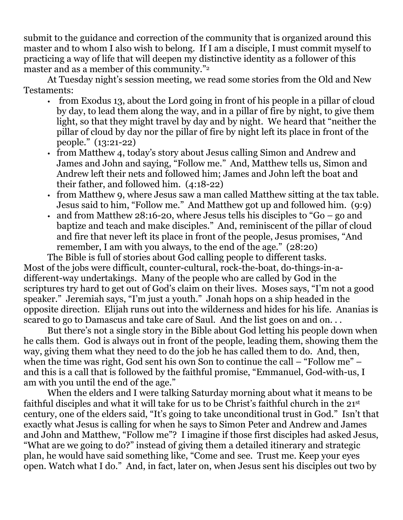submit to the guidance and correction of the community that is organized around this master and to whom I also wish to belong. If I am a disciple, I must commit myself to practicing a way of life that will deepen my distinctive identity as a follower of this master and as a member of this community."<sup>2</sup>

At Tuesday night's session meeting, we read some stories from the Old and New Testaments:

- from Exodus 13, about the Lord going in front of his people in a pillar of cloud by day, to lead them along the way, and in a pillar of fire by night, to give them light, so that they might travel by day and by night. We heard that "neither the pillar of cloud by day nor the pillar of fire by night left its place in front of the people." (13:21-22)
- from Matthew 4, today's story about Jesus calling Simon and Andrew and James and John and saying, "Follow me." And, Matthew tells us, Simon and Andrew left their nets and followed him; James and John left the boat and their father, and followed him. (4:18-22)
- from Matthew 9, where Jesus saw a man called Matthew sitting at the tax table. Jesus said to him, "Follow me." And Matthew got up and followed him. (9:9)
- and from Matthew 28:16-20, where Jesus tells his disciples to "Go go and baptize and teach and make disciples." And, reminiscent of the pillar of cloud and fire that never left its place in front of the people, Jesus promises, "And remember, I am with you always, to the end of the age." (28:20)

The Bible is full of stories about God calling people to different tasks. Most of the jobs were difficult, counter-cultural, rock-the-boat, do-things-in-adifferent-way undertakings. Many of the people who are called by God in the scriptures try hard to get out of God's claim on their lives. Moses says, "I'm not a good speaker." Jeremiah says, "I'm just a youth." Jonah hops on a ship headed in the opposite direction. Elijah runs out into the wilderness and hides for his life. Ananias is scared to go to Damascus and take care of Saul. And the list goes on and on. . .

But there's not a single story in the Bible about God letting his people down when he calls them. God is always out in front of the people, leading them, showing them the way, giving them what they need to do the job he has called them to do. And, then, when the time was right, God sent his own Son to continue the call – "Follow me" – and this is a call that is followed by the faithful promise, "Emmanuel, God-with-us, I am with you until the end of the age."

When the elders and I were talking Saturday morning about what it means to be faithful disciples and what it will take for us to be Christ's faithful church in the 21st century, one of the elders said, "It's going to take unconditional trust in God." Isn't that exactly what Jesus is calling for when he says to Simon Peter and Andrew and James and John and Matthew, "Follow me"? I imagine if those first disciples had asked Jesus, "What are we going to do?" instead of giving them a detailed itinerary and strategic plan, he would have said something like, "Come and see. Trust me. Keep your eyes open. Watch what I do." And, in fact, later on, when Jesus sent his disciples out two by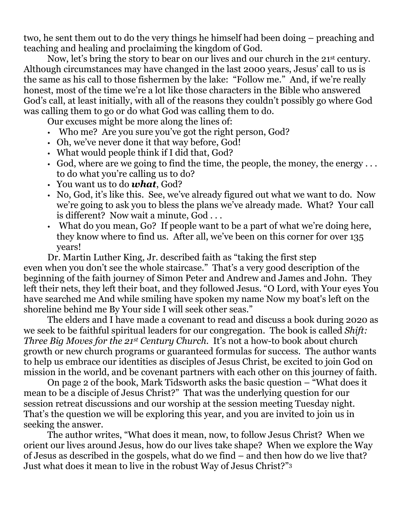two, he sent them out to do the very things he himself had been doing – preaching and teaching and healing and proclaiming the kingdom of God.

Now, let's bring the story to bear on our lives and our church in the 21st century. Although circumstances may have changed in the last 2000 years, Jesus' call to us is the same as his call to those fishermen by the lake: "Follow me." And, if we're really honest, most of the time we're a lot like those characters in the Bible who answered God's call, at least initially, with all of the reasons they couldn't possibly go where God was calling them to go or do what God was calling them to do.

Our excuses might be more along the lines of:

- Who me? Are you sure you've got the right person, God?
- Oh, we've never done it that way before, God!
- What would people think if I did that, God?
- $\cdot$  God, where are we going to find the time, the people, the money, the energy  $\dots$ to do what you're calling us to do?
- You want us to do *what*, God?
- No, God, it's like this. See, we've already figured out what we want to do. Now we're going to ask you to bless the plans we've already made. What? Your call is different? Now wait a minute, God . . .
- What do you mean, Go? If people want to be a part of what we're doing here, they know where to find us. After all, we've been on this corner for over 135 years!

Dr. Martin Luther King, Jr. described faith as "taking the first step even when you don't see the whole staircase." That's a very good description of the beginning of the faith journey of Simon Peter and Andrew and James and John. They left their nets, they left their boat, and they followed Jesus. "O Lord, with Your eyes You have searched me And while smiling have spoken my name Now my boat's left on the shoreline behind me By Your side I will seek other seas."

The elders and I have made a covenant to read and discuss a book during 2020 as we seek to be faithful spiritual leaders for our congregation. The book is called *Shift: Three Big Moves for the 21st Century Church*. It's not a how-to book about church growth or new church programs or guaranteed formulas for success. The author wants to help us embrace our identities as disciples of Jesus Christ, be excited to join God on mission in the world, and be covenant partners with each other on this journey of faith.

On page 2 of the book, Mark Tidsworth asks the basic question – "What does it mean to be a disciple of Jesus Christ?" That was the underlying question for our session retreat discussions and our worship at the session meeting Tuesday night. That's the question we will be exploring this year, and you are invited to join us in seeking the answer.

The author writes, "What does it mean, now, to follow Jesus Christ? When we orient our lives around Jesus, how do our lives take shape? When we explore the Way of Jesus as described in the gospels, what do we find – and then how do we live that? Just what does it mean to live in the robust Way of Jesus Christ?"<sup>3</sup>